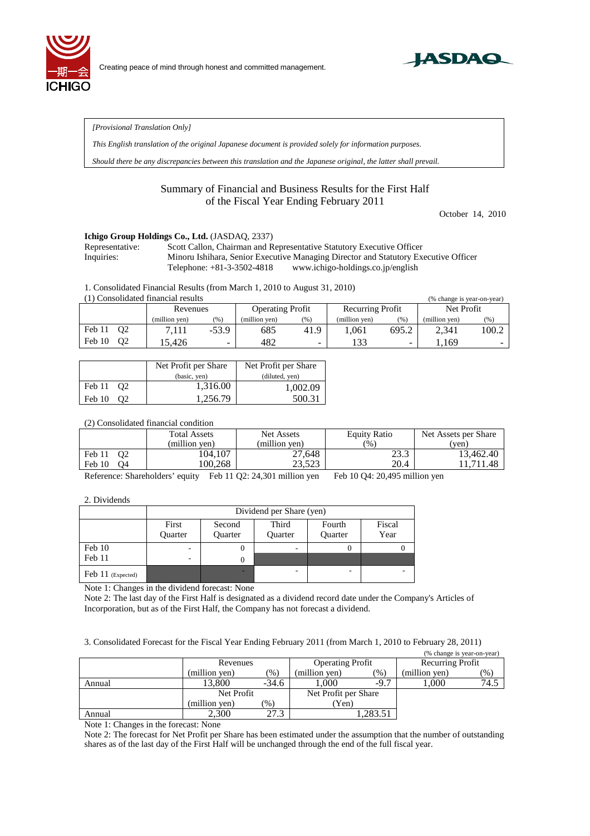



*[Provisional Translation Only]*

*This English translation of the original Japanese document is provided solely for information purposes.*

*Should there be any discrepancies between this translation and the Japanese original, the latter shall prevail.*

## Summary of Financial and Business Results for the First Half of the Fiscal Year Ending February 2011

October 14, 2010

## **Ichigo Group Holdings Co., Ltd.** (JASDAQ, 2337)

Representative: Scott Callon, Chairman and Representative Statutory Executive Officer Inquiries: Minoru Ishihara, Senior Executive Managing Director and Statutory Executive Officer Telephone: +81-3-3502-4818 www.ichigo-holdings.co.jp/english

1. Consolidated Financial Results (from March 1, 2010 to August 31, 2010)

| (1) Consolidated financial results<br>(% change is year-on-year) |               |         |                         |        |                  |                          |               |       |
|------------------------------------------------------------------|---------------|---------|-------------------------|--------|------------------|--------------------------|---------------|-------|
|                                                                  | Revenues      |         | <b>Operating Profit</b> |        | Recurring Profit |                          | Net Profit    |       |
|                                                                  | (million ven) | (% )    | (million ven)           | (%)    | (million ven)    | (%)                      | (million ven) | (96)  |
| Feb 11<br>02                                                     | 7.111         | $-53.9$ | 685                     | 41.9   | .061             | 695.2                    | 2.341         | 100.2 |
| Feb 10<br>02                                                     | 5.426         | -       | 482                     | $\sim$ | 133              | $\overline{\phantom{0}}$ | 169           | -     |

|                          | Net Profit per Share | Net Profit per Share |
|--------------------------|----------------------|----------------------|
|                          | (basic, yen)         | (diluted, yen)       |
| Feb 11 02                | 1,316.00             | 1,002.09             |
| Feb 10<br>O <sub>2</sub> | 1.256.79             | 500.31               |

## (2) Consolidated financial condition

|                                    | <b>Total Assets</b> | Net Assets       | <b>Equity Ratio</b> | Net Assets per Share |
|------------------------------------|---------------------|------------------|---------------------|----------------------|
|                                    | (million ven)       | (million ven)    | (96)                | (ven)                |
| $\Omega$<br>Feb 11<br>Feb 10<br>Ο4 | 04.107<br>00.268    | 27,648<br>23.523 | 23.3<br>20.4        | 13,462.40<br>.711.48 |

Reference: Shareholders' equity Feb 11 Q2: 24,301 million yen Feb 10 Q4: 20,495 million yen

2. Dividends

|                   | Dividend per Share (yen) |                   |                  |                   |                |  |  |
|-------------------|--------------------------|-------------------|------------------|-------------------|----------------|--|--|
|                   | First<br>Quarter         | Second<br>Quarter | Third<br>Quarter | Fourth<br>Quarter | Fiscal<br>Year |  |  |
| Feb 10            | ۰                        |                   | ۰                |                   |                |  |  |
| Feb 11            | ۰                        |                   |                  |                   |                |  |  |
| Feb 11 (Expected) |                          |                   | ۰                |                   | ۰              |  |  |

Note 1: Changes in the dividend forecast: None

Note 2: The last day of the First Half is designated as a dividend record date under the Company's Articles of Incorporation, but as of the First Half, the Company has not forecast a dividend.

3. Consolidated Forecast for the Fiscal Year Ending February 2011 (from March 1, 2010 to February 28, 2011)

|                        |               |                 |                         |         | (% change is year-on-year) |               |
|------------------------|---------------|-----------------|-------------------------|---------|----------------------------|---------------|
|                        | Revenues      |                 | <b>Operating Profit</b> |         | <b>Recurring Profit</b>    |               |
|                        | (million ven) | $(\%)$          | (million ven)           | (9)     | (million yen)              | $\frac{9}{6}$ |
| Annual                 | 13.800        | $-34.6$         | 1.000                   | $-9.7$  | .000                       | 74.5          |
|                        | Net Profit    |                 | Net Profit per Share    |         |                            |               |
|                        | (million ven) | $\mathcal{O}_0$ | (Yen)                   |         |                            |               |
| Annual                 | 2.300         | 27.3            |                         | .283.51 |                            |               |
| $\cdots$ $\cdots$<br>. | $\sim$ $\sim$ |                 |                         |         |                            |               |

Note 1: Changes in the forecast: None

Note 2: The forecast for Net Profit per Share has been estimated under the assumption that the number of outstanding shares as of the last day of the First Half will be unchanged through the end of the full fiscal year.